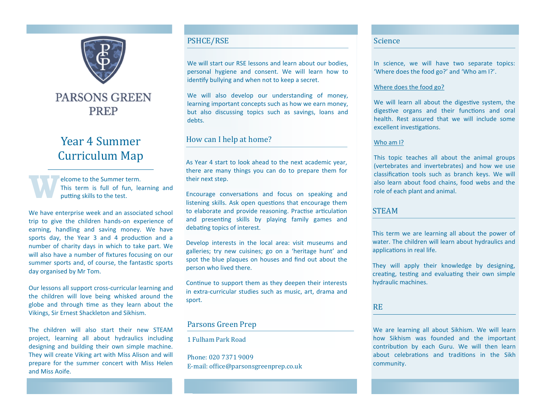

# **PARSONS GREEN** PREP

# Year 4 Summer Curriculum Map

**W** elcome to the Summer term. This term is full of fun, learning and putting skills to the test.

We have enterprise week and an associated school trip to give the children hands-on experience of earning, handling and saving money. We have sports day, the Year 3 and 4 production and a number of charity days in which to take part. We will also have a number of fixtures focusing on our summer sports and, of course, the fantastic sports day organised by Mr Tom.

Our lessons all support cross-curricular learning and the children will love being whisked around the globe and through time as they learn about the Vikings, Sir Ernest Shackleton and Sikhism.

The children will also start their new STEAM project, learning all about hydraulics including designing and building their own simple machine. They will create Viking art with Miss Alison and will prepare for the summer concert with Miss Helen and Miss Aoife.

## PSHCE/RSE

We will start our RSE lessons and learn about our bodies. personal hygiene and consent. We will learn how to identify bullying and when not to keep a secret.

We will also develop our understanding of money, learning important concepts such as how we earn money, but also discussing topics such as savings, loans and debts.

## How can I help at home?

As Year 4 start to look ahead to the next academic year, there are many things you can do to prepare them for their next step.

Encourage conversations and focus on speaking and listening skills. Ask open questions that encourage them to elaborate and provide reasoning. Practise articulation and presenting skills by playing family games and debating topics of interest.

Develop interests in the local area: visit museums and galleries; try new cuisines; go on a 'heritage hunt' and spot the blue plaques on houses and find out about the person who lived there.

Continue to support them as they deepen their interests in extra-curricular studies such as music, art, drama and sport.

# Parsons Green Prep

1 Fulham Park Road

Phone: 020 7371 9009 E-mail: office@parsonsgreenprep.co.uk

### Science

In science, we will have two separate topics: 'Where does the food go?' and 'Who am I?'.

#### Where does the food go?

We will learn all about the digestive system, the digestive organs and their functions and oral health. Rest assured that we will include some excellent investigations.

#### Who am I?

This topic teaches all about the animal groups (vertebrates and invertebrates) and how we use classification tools such as branch keys. We will also learn about food chains, food webs and the role of each plant and animal.

## **STEAM**

This term we are learning all about the power of water. The children will learn about hydraulics and applications in real life.

They will apply their knowledge by designing, creating, testing and evaluating their own simple hydraulic machines.

#### RE

We are learning all about Sikhism. We will learn how Sikhism was founded and the important contribution by each Guru. We will then learn about celebrations and traditions in the Sikh community.